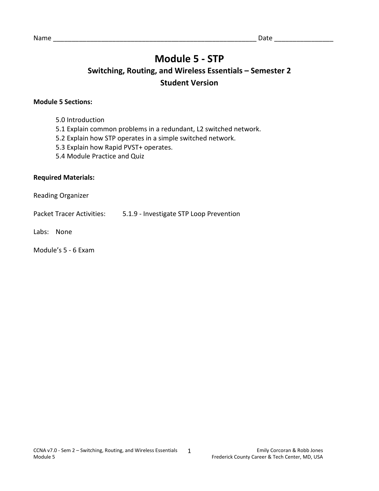# **Module 5 - STP**

## **Switching, Routing, and Wireless Essentials – Semester 2 Student Version**

#### **Module 5 Sections:**

- 5.0 Introduction
- 5.1 Explain common problems in a redundant, L2 switched network.
- 5.2 Explain how STP operates in a simple switched network.
- 5.3 Explain how Rapid PVST+ operates.
- 5.4 Module Practice and Quiz

#### **Required Materials:**

Reading Organizer

Packet Tracer Activities: 5.1.9 - Investigate STP Loop Prevention

Labs: None

Module's 5 - 6 Exam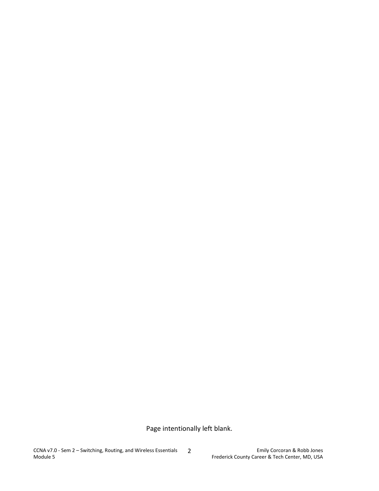## Page intentionally left blank.

2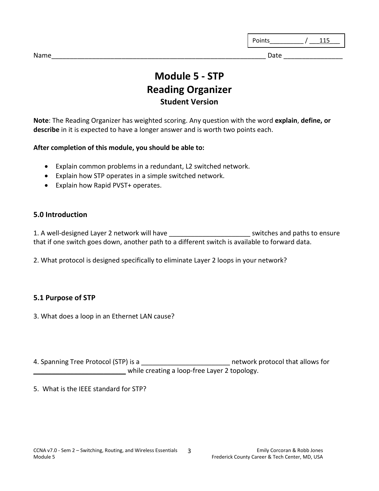Name\_\_\_\_\_\_\_\_\_\_\_\_\_\_\_\_\_\_\_\_\_\_\_\_\_\_\_\_\_\_\_\_\_\_\_\_\_\_\_\_\_\_\_\_\_\_\_\_\_\_\_\_\_\_\_\_\_\_ Date \_\_\_\_\_\_\_\_\_\_\_\_\_\_\_\_

## **Module 5 - STP Reading Organizer Student Version**

**Note**: The Reading Organizer has weighted scoring. Any question with the word **explain**, **define, or describe** in it is expected to have a longer answer and is worth two points each.

#### **After completion of this module, you should be able to:**

- Explain common problems in a redundant, L2 switched network.
- Explain how STP operates in a simple switched network.
- Explain how Rapid PVST+ operates.

### **5.0 Introduction**

1. A well-designed Layer 2 network will have **the same in the sand paths to ensure** that if one switch goes down, another path to a different switch is available to forward data.

2. What protocol is designed specifically to eliminate Layer 2 loops in your network?

## **5.1 Purpose of STP**

3. What does a loop in an Ethernet LAN cause?

4. Spanning Tree Protocol (STP) is a \_\_\_\_\_\_\_\_\_\_\_\_\_\_\_\_\_\_\_\_\_\_\_\_\_\_\_\_\_\_\_ network protocol that allows for while creating a loop-free Layer 2 topology.

5. What is the IEEE standard for STP?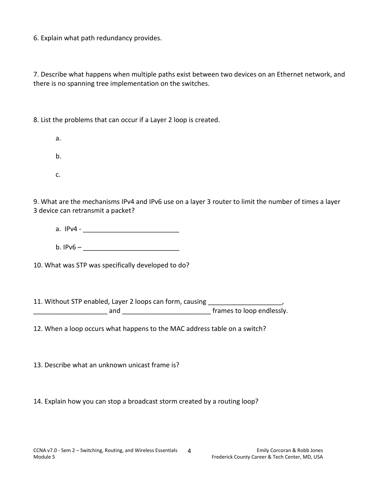6. Explain what path redundancy provides.

7. Describe what happens when multiple paths exist between two devices on an Ethernet network, and there is no spanning tree implementation on the switches.

8. List the problems that can occur if a Layer 2 loop is created.

- a. b. c.
- 9. What are the mechanisms IPv4 and IPv6 use on a layer 3 router to limit the number of times a layer 3 device can retransmit a packet?
	- a. IPv4 \_\_\_\_\_\_\_\_\_\_\_\_\_\_\_\_\_\_\_\_\_\_\_\_\_\_
	- $b. IPv6 -$

10. What was STP was specifically developed to do?

11. Without STP enabled, Layer 2 loops can form, causing \_\_\_\_\_\_\_\_\_\_\_\_\_\_\_\_\_\_\_\_\_\_\_ \_\_\_\_\_\_\_\_\_\_\_\_\_\_\_\_\_\_\_\_ and \_\_\_\_\_\_\_\_\_\_\_\_\_\_\_\_\_\_\_\_\_\_\_\_ frames to loop endlessly.

12. When a loop occurs what happens to the MAC address table on a switch?

13. Describe what an unknown unicast frame is?

14. Explain how you can stop a broadcast storm created by a routing loop?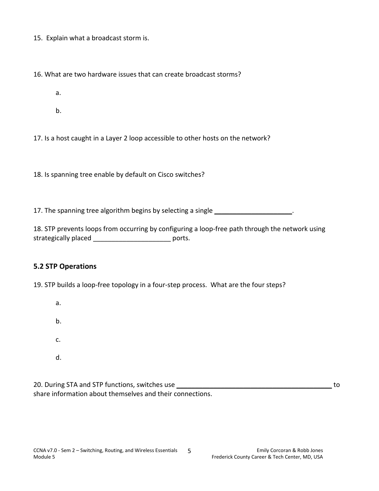15. Explain what a broadcast storm is.

16. What are two hardware issues that can create broadcast storms?

- a.
- b.

17. Is a host caught in a Layer 2 loop accessible to other hosts on the network?

18. Is spanning tree enable by default on Cisco switches?

17. The spanning tree algorithm begins by selecting a single \_\_\_\_\_\_\_\_\_\_\_\_\_\_\_\_\_\_\_.

18. STP prevents loops from occurring by configuring a loop-free path through the network using strategically placed \_\_\_\_\_\_\_\_\_\_\_\_\_\_\_\_\_\_\_\_\_\_\_\_\_\_\_\_\_\_ ports.

#### **5.2 STP Operations**

19. STP builds a loop-free topology in a four-step process. What are the four steps?

- a. b. c.
- d.

20. During STA and STP functions, switches use \_\_\_\_\_\_\_\_\_\_\_\_\_\_\_\_\_\_\_\_\_\_\_\_\_\_\_\_\_\_\_\_\_\_\_\_\_\_\_\_\_\_ to share information about themselves and their connections.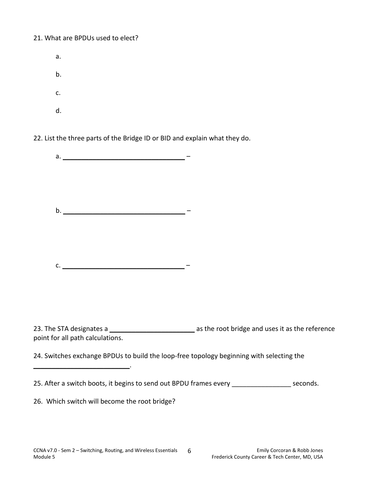#### 21. What are BPDUs used to elect?

| а. |  |  |  |
|----|--|--|--|
| b. |  |  |  |
| c. |  |  |  |
| d. |  |  |  |

22. List the three parts of the Bridge ID or BID and explain what they do.

| $a.$ $\overline{\phantom{a}}$                                                                                                           |  |
|-----------------------------------------------------------------------------------------------------------------------------------------|--|
|                                                                                                                                         |  |
|                                                                                                                                         |  |
|                                                                                                                                         |  |
|                                                                                                                                         |  |
|                                                                                                                                         |  |
| $C.$ $\qquad \qquad$                                                                                                                    |  |
|                                                                                                                                         |  |
|                                                                                                                                         |  |
| 23. The STA designates a 23. The STA designates a 23. The STA designates a 23. The STA designates a<br>point for all path calculations. |  |
| 24. Switches exchange BPDUs to build the loop-free topology beginning with selecting the                                                |  |
| 25. After a switch boots, it begins to send out BPDU frames every ____________________seconds.                                          |  |
| 26. Which switch will become the root bridge?                                                                                           |  |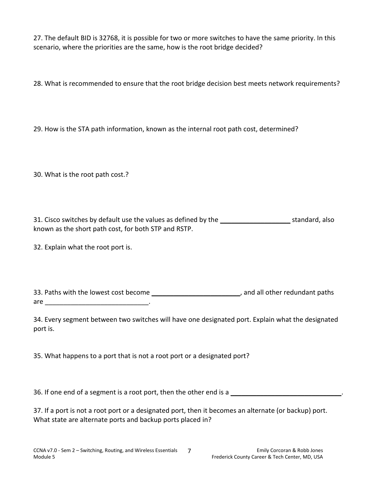27. The default BID is 32768, it is possible for two or more switches to have the same priority. In this scenario, where the priorities are the same, how is the root bridge decided?

28. What is recommended to ensure that the root bridge decision best meets network requirements?

29. How is the STA path information, known as the internal root path cost, determined?

30. What is the root path cost.?

31. Cisco switches by default use the values as defined by the \_\_\_\_\_\_\_\_\_\_\_\_\_\_\_\_\_\_\_ standard, also known as the short path cost, for both STP and RSTP.

32. Explain what the root port is.

33. Paths with the lowest cost become \_\_\_\_\_\_\_\_\_\_\_\_\_\_\_\_\_\_\_\_\_\_\_\_\_\_\_, and all other redundant paths are  $\_\_$ 

34. Every segment between two switches will have one designated port. Explain what the designated port is.

35. What happens to a port that is not a root port or a designated port?

36. If one end of a segment is a root port, then the other end is a \_\_\_\_\_\_\_\_\_\_\_\_\_\_\_\_\_\_\_\_\_\_\_\_\_\_\_\_\_\_.

37. If a port is not a root port or a designated port, then it becomes an alternate (or backup) port. What state are alternate ports and backup ports placed in?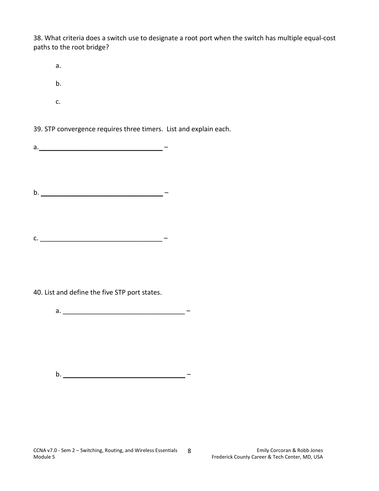38. What criteria does a switch use to designate a root port when the switch has multiple equal-cost paths to the root bridge?

- a.
- b.
- 
- c.

39. STP convergence requires three timers. List and explain each.

a. \_\_\_\_\_\_\_\_\_\_\_\_\_\_\_\_\_\_\_\_\_\_\_\_\_\_\_\_\_\_\_\_\_ –

b. \_\_\_\_\_\_\_\_\_\_\_\_\_\_\_\_\_\_\_\_\_\_\_\_\_\_\_\_\_\_\_\_\_ –

c.  $\frac{1}{2}$  –

40. List and define the five STP port states.

a. \_\_\_\_\_\_\_\_\_\_\_\_\_\_\_\_\_\_\_\_\_\_\_\_\_\_\_\_\_\_\_\_\_ –

b. \_\_\_\_\_\_\_\_\_\_\_\_\_\_\_\_\_\_\_\_\_\_\_\_\_\_\_\_\_\_\_\_\_ –

8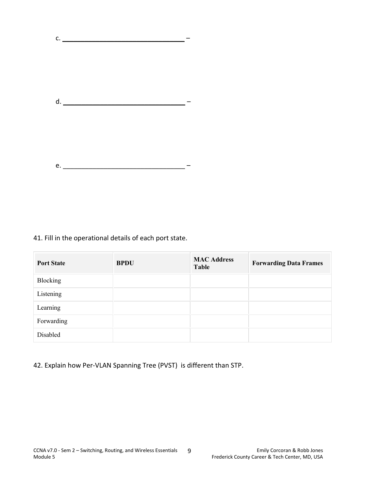| C. |  |  |  |
|----|--|--|--|
|    |  |  |  |
|    |  |  |  |
|    |  |  |  |
|    |  |  |  |
|    |  |  |  |
|    |  |  |  |
|    |  |  |  |
|    |  |  |  |
|    |  |  |  |
|    |  |  |  |
|    |  |  |  |
|    |  |  |  |
|    |  |  |  |
|    |  |  |  |
|    |  |  |  |
|    |  |  |  |
|    |  |  |  |

e. \_\_\_\_\_\_\_\_\_\_\_\_\_\_\_\_\_\_\_\_\_\_\_\_\_\_\_\_\_\_\_\_\_ –

41. Fill in the operational details of each port state.

| <b>Port State</b> | <b>BPDU</b> | <b>MAC Address</b><br><b>Table</b> | <b>Forwarding Data Frames</b> |
|-------------------|-------------|------------------------------------|-------------------------------|
| <b>Blocking</b>   |             |                                    |                               |
| Listening         |             |                                    |                               |
| Learning          |             |                                    |                               |
| Forwarding        |             |                                    |                               |
| Disabled          |             |                                    |                               |

42. Explain how Per-VLAN Spanning Tree (PVST) is different than STP.

Frederick County Career & Tech Center, MD, USA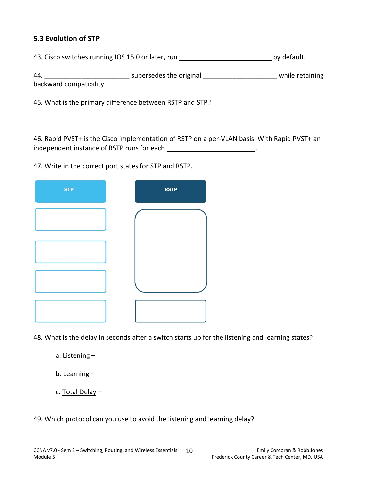### **5.3 Evolution of STP**

43. Cisco switches running IOS 15.0 or later, run \_\_\_\_\_\_\_\_\_\_\_\_\_\_\_\_\_\_\_\_\_\_\_\_\_\_\_\_\_\_ by default.

44. \_\_\_\_\_\_\_\_\_\_\_\_\_\_\_\_\_\_\_\_\_\_\_ supersedes the original \_\_\_\_\_\_\_\_\_\_\_\_\_\_\_\_\_\_\_\_ while retaining backward compatibility.

45. What is the primary difference between RSTP and STP?

46. Rapid PVST+ is the Cisco implementation of RSTP on a per-VLAN basis. With Rapid PVST+ an independent instance of RSTP runs for each **container and the container of RSTP** runs for each and the container

47. Write in the correct port states for STP and RSTP.



48. What is the delay in seconds after a switch starts up for the listening and learning states?

a. Listening –

b. Learning –

c. Total Delay –

49. Which protocol can you use to avoid the listening and learning delay?